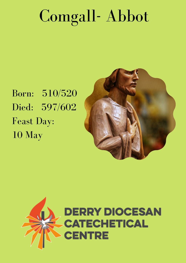## Comgall- Abbot

Born: 510/520 Died: 597/602 Feast Day: 10 May